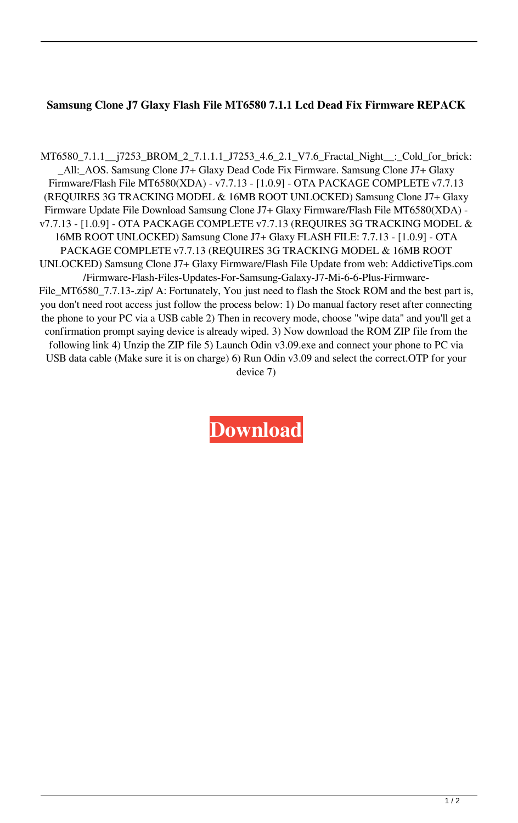## **Samsung Clone J7 Glaxy Flash File MT6580 7.1.1 Lcd Dead Fix Firmware REPACK**

MT6580 7.1.1 \_ j7253\_BROM\_2\_7.1.1.1\_J7253\_4.6\_2.1\_V7.6\_Fractal\_Night\_:\_Cold\_for\_brick: \_All:\_AOS. Samsung Clone J7+ Glaxy Dead Code Fix Firmware. Samsung Clone J7+ Glaxy Firmware/Flash File MT6580(XDA) - v7.7.13 - [1.0.9] - OTA PACKAGE COMPLETE v7.7.13 (REQUIRES 3G TRACKING MODEL & 16MB ROOT UNLOCKED) Samsung Clone J7+ Glaxy Firmware Update File Download Samsung Clone J7+ Glaxy Firmware/Flash File MT6580(XDA) v7.7.13 - [1.0.9] - OTA PACKAGE COMPLETE v7.7.13 (REQUIRES 3G TRACKING MODEL & 16MB ROOT UNLOCKED) Samsung Clone J7+ Glaxy FLASH FILE: 7.7.13 - [1.0.9] - OTA PACKAGE COMPLETE v7.7.13 (REQUIRES 3G TRACKING MODEL & 16MB ROOT UNLOCKED) Samsung Clone J7+ Glaxy Firmware/Flash File Update from web: AddictiveTips.com /Firmware-Flash-Files-Updates-For-Samsung-Galaxy-J7-Mi-6-6-Plus-Firmware-File MT6580 7.7.13-.zip/ A: Fortunately, You just need to flash the Stock ROM and the best part is, you don't need root access just follow the process below: 1) Do manual factory reset after connecting the phone to your PC via a USB cable 2) Then in recovery mode, choose "wipe data" and you'll get a confirmation prompt saying device is already wiped. 3) Now download the ROM ZIP file from the following link 4) Unzip the ZIP file 5) Launch Odin v3.09.exe and connect your phone to PC via USB data cable (Make sure it is on charge) 6) Run Odin v3.09 and select the correct.OTP for your device 7)

**[Download](http://evacdir.com/charset/banyan/hiptop.souffl/U2Ftc3VuZyBDbG9uZSBKNyBHbGF4eSBGbGFzaCBGaWxlIE1UNjU4MCA3LjEuMSBMY2QgRGVhZCBGaXggRmlybXdhcmUU2F/toob.wield.ZG93bmxvYWR8b3AwWTIxdk5YeDhNVFkxTlRnME1qazRNWHg4TWpVM05IeDhLRTBwSUhKbFlXUXRZbXh2WnlCYlJtRnpkQ0JIUlU1ZA)**